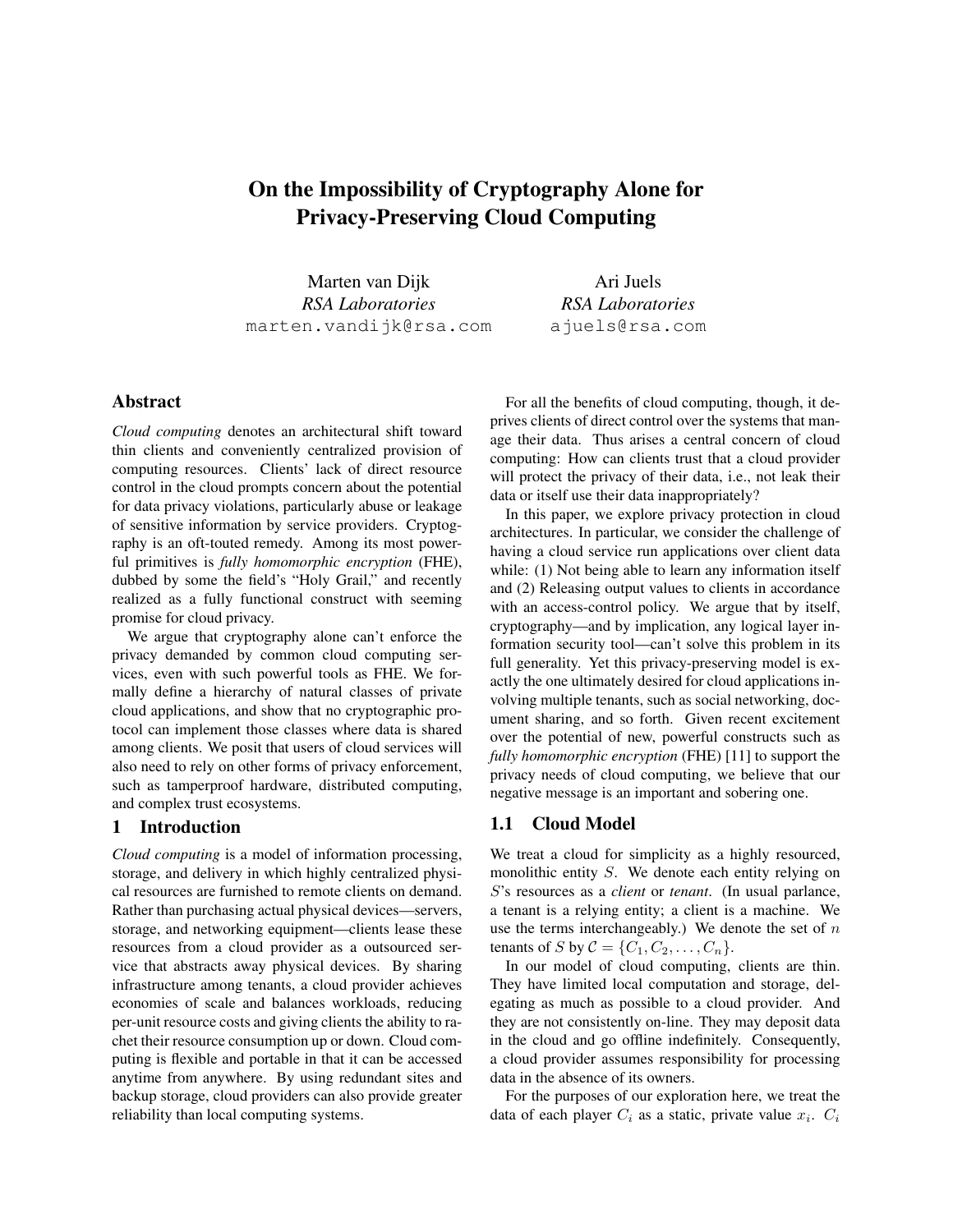# On the Impossibility of Cryptography Alone for Privacy-Preserving Cloud Computing

Marten van Dijk *RSA Laboratories* marten.vandijk@rsa.com

Ari Juels *RSA Laboratories* ajuels@rsa.com

## Abstract

*Cloud computing* denotes an architectural shift toward thin clients and conveniently centralized provision of computing resources. Clients' lack of direct resource control in the cloud prompts concern about the potential for data privacy violations, particularly abuse or leakage of sensitive information by service providers. Cryptography is an oft-touted remedy. Among its most powerful primitives is *fully homomorphic encryption* (FHE), dubbed by some the field's "Holy Grail," and recently realized as a fully functional construct with seeming promise for cloud privacy.

We argue that cryptography alone can't enforce the privacy demanded by common cloud computing services, even with such powerful tools as FHE. We formally define a hierarchy of natural classes of private cloud applications, and show that no cryptographic protocol can implement those classes where data is shared among clients. We posit that users of cloud services will also need to rely on other forms of privacy enforcement, such as tamperproof hardware, distributed computing, and complex trust ecosystems.

#### 1 Introduction

*Cloud computing* is a model of information processing, storage, and delivery in which highly centralized physical resources are furnished to remote clients on demand. Rather than purchasing actual physical devices—servers, storage, and networking equipment—clients lease these resources from a cloud provider as a outsourced service that abstracts away physical devices. By sharing infrastructure among tenants, a cloud provider achieves economies of scale and balances workloads, reducing per-unit resource costs and giving clients the ability to rachet their resource consumption up or down. Cloud computing is flexible and portable in that it can be accessed anytime from anywhere. By using redundant sites and backup storage, cloud providers can also provide greater reliability than local computing systems.

For all the benefits of cloud computing, though, it deprives clients of direct control over the systems that manage their data. Thus arises a central concern of cloud computing: How can clients trust that a cloud provider will protect the privacy of their data, i.e., not leak their data or itself use their data inappropriately?

In this paper, we explore privacy protection in cloud architectures. In particular, we consider the challenge of having a cloud service run applications over client data while: (1) Not being able to learn any information itself and (2) Releasing output values to clients in accordance with an access-control policy. We argue that by itself, cryptography—and by implication, any logical layer information security tool—can't solve this problem in its full generality. Yet this privacy-preserving model is exactly the one ultimately desired for cloud applications involving multiple tenants, such as social networking, document sharing, and so forth. Given recent excitement over the potential of new, powerful constructs such as *fully homomorphic encryption* (FHE) [11] to support the privacy needs of cloud computing, we believe that our negative message is an important and sobering one.

#### 1.1 Cloud Model

We treat a cloud for simplicity as a highly resourced, monolithic entity S. We denote each entity relying on S's resources as a *client* or *tenant*. (In usual parlance, a tenant is a relying entity; a client is a machine. We use the terms interchangeably.) We denote the set of  $n$ tenants of S by  $C = \{C_1, C_2, \ldots, C_n\}.$ 

In our model of cloud computing, clients are thin. They have limited local computation and storage, delegating as much as possible to a cloud provider. And they are not consistently on-line. They may deposit data in the cloud and go offline indefinitely. Consequently, a cloud provider assumes responsibility for processing data in the absence of its owners.

For the purposes of our exploration here, we treat the data of each player  $C_i$  as a static, private value  $x_i$ .  $C_i$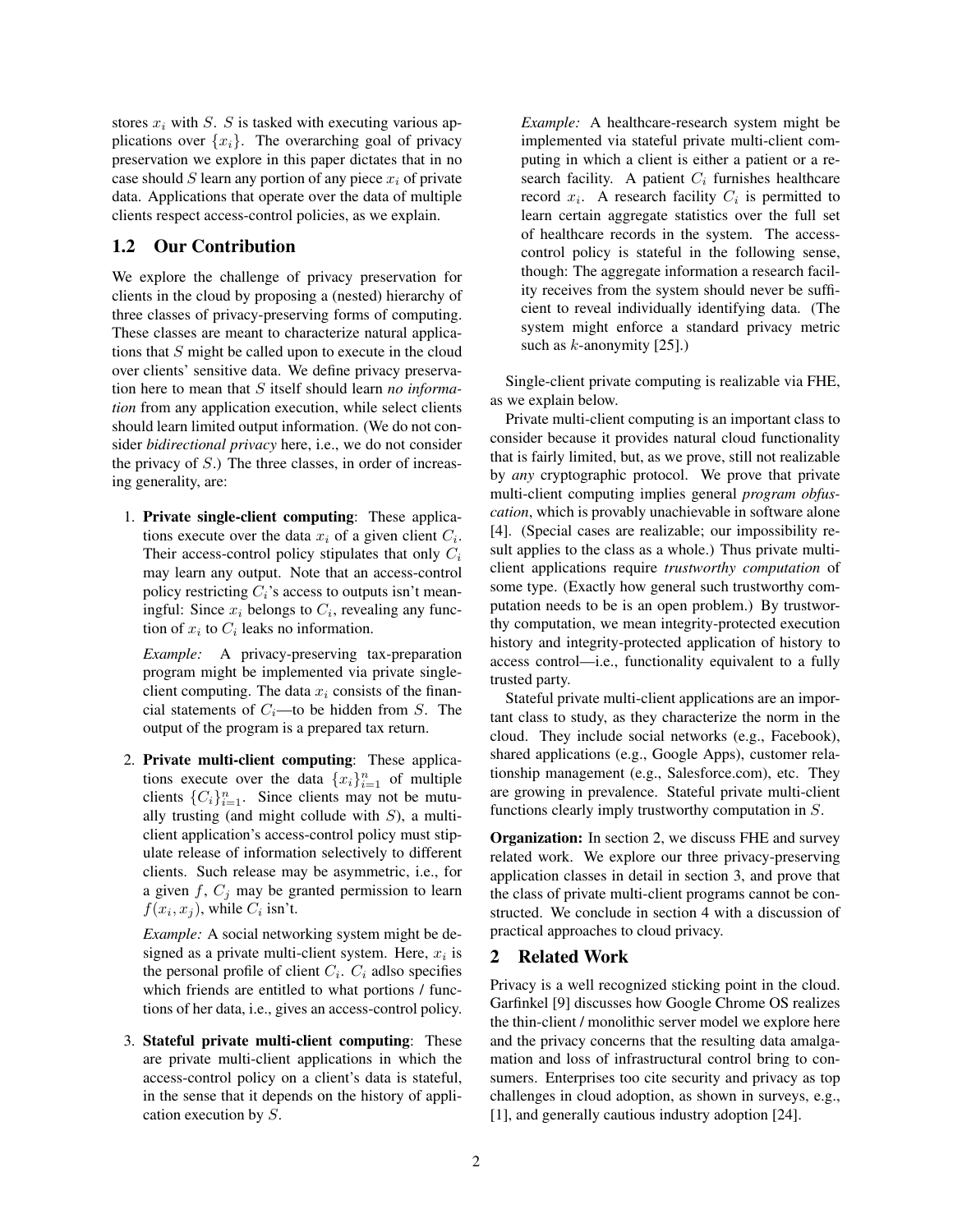stores  $x_i$  with S. S is tasked with executing various applications over  $\{x_i\}$ . The overarching goal of privacy preservation we explore in this paper dictates that in no case should S learn any portion of any piece  $x_i$  of private data. Applications that operate over the data of multiple clients respect access-control policies, as we explain.

## 1.2 Our Contribution

We explore the challenge of privacy preservation for clients in the cloud by proposing a (nested) hierarchy of three classes of privacy-preserving forms of computing. These classes are meant to characterize natural applications that S might be called upon to execute in the cloud over clients' sensitive data. We define privacy preservation here to mean that S itself should learn *no information* from any application execution, while select clients should learn limited output information. (We do not consider *bidirectional privacy* here, i.e., we do not consider the privacy of  $S$ .) The three classes, in order of increasing generality, are:

1. Private single-client computing: These applications execute over the data  $x_i$  of a given client  $C_i$ . Their access-control policy stipulates that only  $C_i$ may learn any output. Note that an access-control policy restricting  $C_i$ 's access to outputs isn't meaningful: Since  $x_i$  belongs to  $C_i$ , revealing any function of  $x_i$  to  $C_i$  leaks no information.

*Example:* A privacy-preserving tax-preparation program might be implemented via private singleclient computing. The data  $x_i$  consists of the financial statements of  $C_i$ —to be hidden from S. The output of the program is a prepared tax return.

2. Private multi-client computing: These applications execute over the data  ${x_i}_{i=1}^n$  of multiple clients  ${C_i}_{i=1}^n$ . Since clients may not be mutually trusting (and might collude with  $S$ ), a multiclient application's access-control policy must stipulate release of information selectively to different clients. Such release may be asymmetric, i.e., for a given  $f$ ,  $C_i$  may be granted permission to learn  $f(x_i, x_j)$ , while  $C_i$  isn't.

*Example:* A social networking system might be designed as a private multi-client system. Here,  $x_i$  is the personal profile of client  $C_i$ .  $C_i$  adlso specifies which friends are entitled to what portions / functions of her data, i.e., gives an access-control policy.

3. Stateful private multi-client computing: These are private multi-client applications in which the access-control policy on a client's data is stateful, in the sense that it depends on the history of application execution by S.

*Example:* A healthcare-research system might be implemented via stateful private multi-client computing in which a client is either a patient or a research facility. A patient  $C_i$  furnishes healthcare record  $x_i$ . A research facility  $C_i$  is permitted to learn certain aggregate statistics over the full set of healthcare records in the system. The accesscontrol policy is stateful in the following sense, though: The aggregate information a research facility receives from the system should never be sufficient to reveal individually identifying data. (The system might enforce a standard privacy metric such as  $k$ -anonymity [25].)

Single-client private computing is realizable via FHE, as we explain below.

Private multi-client computing is an important class to consider because it provides natural cloud functionality that is fairly limited, but, as we prove, still not realizable by *any* cryptographic protocol. We prove that private multi-client computing implies general *program obfuscation*, which is provably unachievable in software alone [4]. (Special cases are realizable; our impossibility result applies to the class as a whole.) Thus private multiclient applications require *trustworthy computation* of some type. (Exactly how general such trustworthy computation needs to be is an open problem.) By trustworthy computation, we mean integrity-protected execution history and integrity-protected application of history to access control—i.e., functionality equivalent to a fully trusted party.

Stateful private multi-client applications are an important class to study, as they characterize the norm in the cloud. They include social networks (e.g., Facebook), shared applications (e.g., Google Apps), customer relationship management (e.g., Salesforce.com), etc. They are growing in prevalence. Stateful private multi-client functions clearly imply trustworthy computation in S.

Organization: In section 2, we discuss FHE and survey related work. We explore our three privacy-preserving application classes in detail in section 3, and prove that the class of private multi-client programs cannot be constructed. We conclude in section 4 with a discussion of practical approaches to cloud privacy.

#### 2 Related Work

Privacy is a well recognized sticking point in the cloud. Garfinkel [9] discusses how Google Chrome OS realizes the thin-client / monolithic server model we explore here and the privacy concerns that the resulting data amalgamation and loss of infrastructural control bring to consumers. Enterprises too cite security and privacy as top challenges in cloud adoption, as shown in surveys, e.g., [1], and generally cautious industry adoption [24].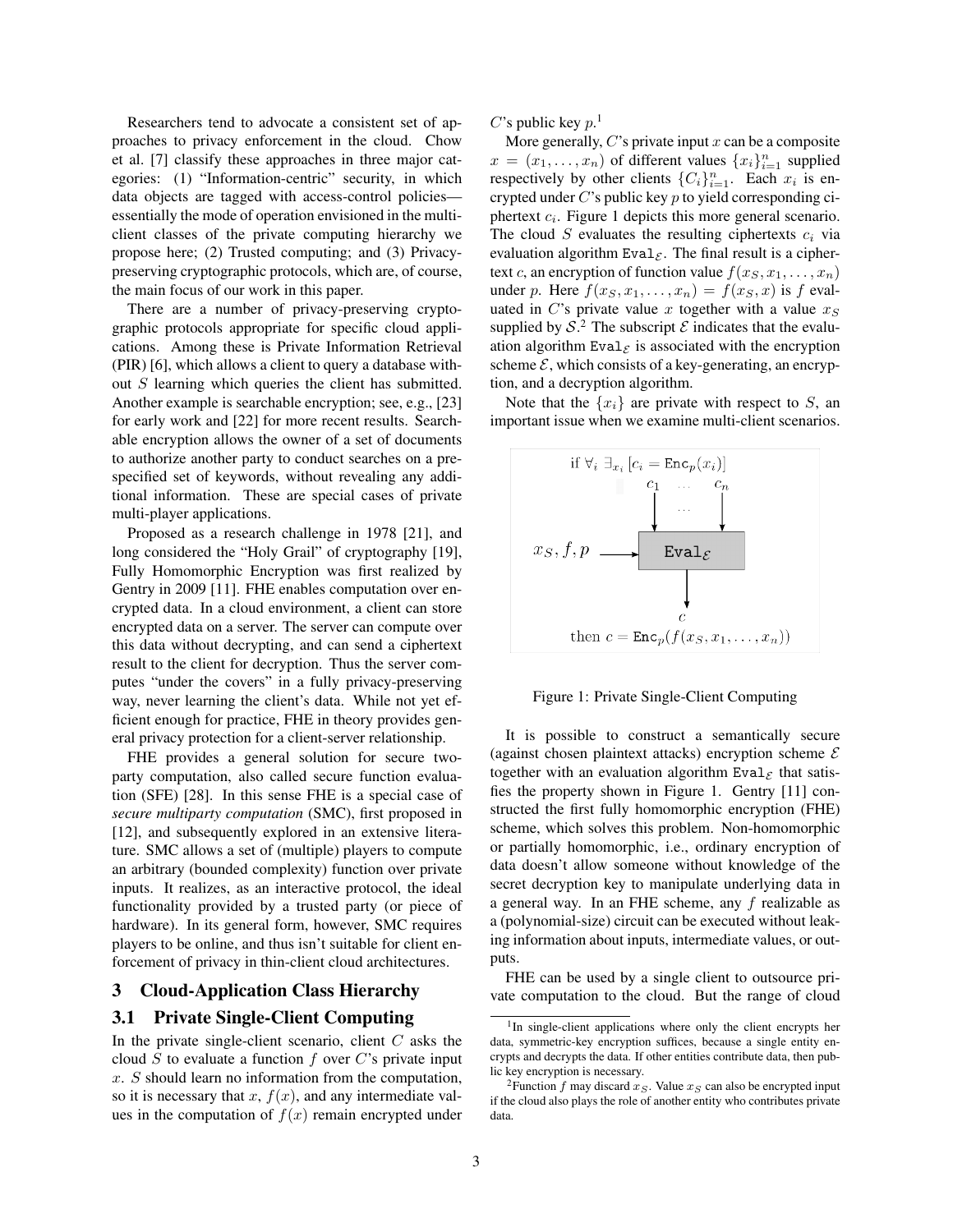Researchers tend to advocate a consistent set of approaches to privacy enforcement in the cloud. Chow et al. [7] classify these approaches in three major categories: (1) "Information-centric" security, in which data objects are tagged with access-control policies essentially the mode of operation envisioned in the multiclient classes of the private computing hierarchy we propose here; (2) Trusted computing; and (3) Privacypreserving cryptographic protocols, which are, of course, the main focus of our work in this paper.

There are a number of privacy-preserving cryptographic protocols appropriate for specific cloud applications. Among these is Private Information Retrieval (PIR) [6], which allows a client to query a database without  $S$  learning which queries the client has submitted. Another example is searchable encryption; see, e.g., [23] for early work and [22] for more recent results. Searchable encryption allows the owner of a set of documents to authorize another party to conduct searches on a prespecified set of keywords, without revealing any additional information. These are special cases of private multi-player applications.

Proposed as a research challenge in 1978 [21], and long considered the "Holy Grail" of cryptography [19], Fully Homomorphic Encryption was first realized by Gentry in 2009 [11]. FHE enables computation over encrypted data. In a cloud environment, a client can store encrypted data on a server. The server can compute over this data without decrypting, and can send a ciphertext result to the client for decryption. Thus the server computes "under the covers" in a fully privacy-preserving way, never learning the client's data. While not yet efficient enough for practice, FHE in theory provides general privacy protection for a client-server relationship.

FHE provides a general solution for secure twoparty computation, also called secure function evaluation (SFE) [28]. In this sense FHE is a special case of *secure multiparty computation* (SMC), first proposed in [12], and subsequently explored in an extensive literature. SMC allows a set of (multiple) players to compute an arbitrary (bounded complexity) function over private inputs. It realizes, as an interactive protocol, the ideal functionality provided by a trusted party (or piece of hardware). In its general form, however, SMC requires players to be online, and thus isn't suitable for client enforcement of privacy in thin-client cloud architectures.

### 3 Cloud-Application Class Hierarchy

## 3.1 Private Single-Client Computing

In the private single-client scenario, client  $C$  asks the cloud S to evaluate a function f over  $C$ 's private input  $x. S$  should learn no information from the computation, so it is necessary that  $x, f(x)$ , and any intermediate values in the computation of  $f(x)$  remain encrypted under C's public key  $p$ <sup>1</sup>

More generally,  $C$ 's private input  $x$  can be a composite  $x = (x_1, \ldots, x_n)$  of different values  $\{x_i\}_{i=1}^n$  supplied respectively by other clients  ${C_i}_{i=1}^n$ . Each  $x_i$  is encrypted under  $C$ 's public key  $p$  to yield corresponding ciphertext  $c_i$ . Figure 1 depicts this more general scenario. The cloud S evaluates the resulting ciphertexts  $c_i$  via evaluation algorithm Eval<sub> $\varepsilon$ </sub>. The final result is a ciphertext c, an encryption of function value  $f(x_S, x_1, \ldots, x_n)$ under p. Here  $f(x_S, x_1, \ldots, x_n) = f(x_S, x)$  is f evaluated in C's private value x together with a value  $x_S$ supplied by  $S<sup>2</sup>$ . The subscript  $\mathcal E$  indicates that the evaluation algorithm Eval<sub> $\varepsilon$ </sub> is associated with the encryption scheme  $\mathcal{E}$ , which consists of a key-generating, an encryption, and a decryption algorithm.

Note that the  $\{x_i\}$  are private with respect to S, an important issue when we examine multi-client scenarios.



Figure 1: Private Single-Client Computing

It is possible to construct a semantically secure (against chosen plaintext attacks) encryption scheme  $\mathcal E$ together with an evaluation algorithm Eval<sub>s</sub> that satisfies the property shown in Figure 1. Gentry [11] constructed the first fully homomorphic encryption (FHE) scheme, which solves this problem. Non-homomorphic or partially homomorphic, i.e., ordinary encryption of data doesn't allow someone without knowledge of the secret decryption key to manipulate underlying data in a general way. In an FHE scheme, any f realizable as a (polynomial-size) circuit can be executed without leaking information about inputs, intermediate values, or outputs.

FHE can be used by a single client to outsource private computation to the cloud. But the range of cloud

<sup>&</sup>lt;sup>1</sup>In single-client applications where only the client encrypts her data, symmetric-key encryption suffices, because a single entity encrypts and decrypts the data. If other entities contribute data, then public key encryption is necessary.

<sup>&</sup>lt;sup>2</sup>Function f may discard  $x_S$ . Value  $x_S$  can also be encrypted input if the cloud also plays the role of another entity who contributes private data.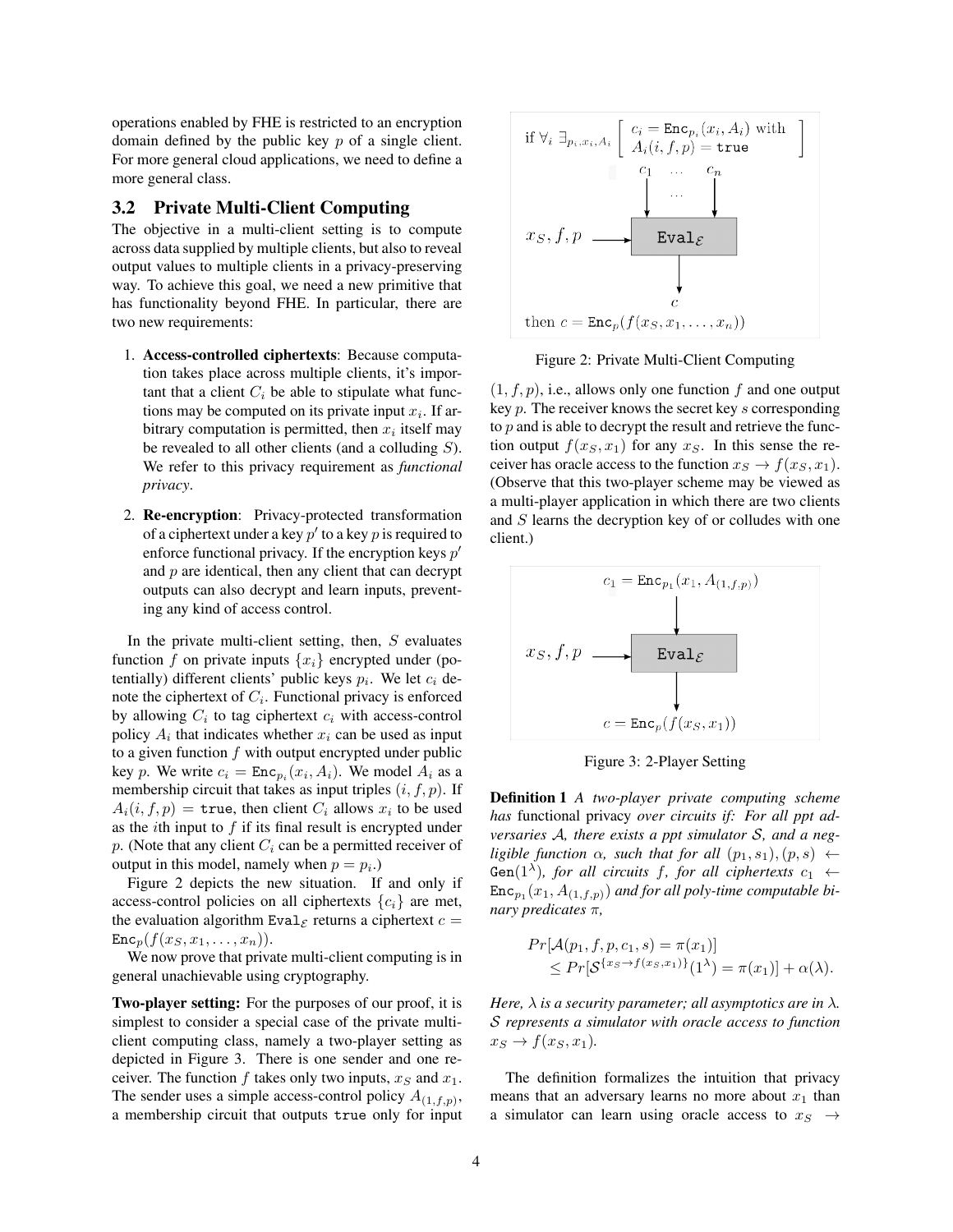operations enabled by FHE is restricted to an encryption domain defined by the public key  $p$  of a single client. For more general cloud applications, we need to define a more general class.

## 3.2 Private Multi-Client Computing

The objective in a multi-client setting is to compute across data supplied by multiple clients, but also to reveal output values to multiple clients in a privacy-preserving way. To achieve this goal, we need a new primitive that has functionality beyond FHE. In particular, there are two new requirements:

- 1. Access-controlled ciphertexts: Because computation takes place across multiple clients, it's important that a client  $C_i$  be able to stipulate what functions may be computed on its private input  $x_i$ . If arbitrary computation is permitted, then  $x_i$  itself may be revealed to all other clients (and a colluding  $S$ ). We refer to this privacy requirement as *functional privacy*.
- 2. Re-encryption: Privacy-protected transformation of a ciphertext under a key  $p'$  to a key  $p$  is required to enforce functional privacy. If the encryption keys  $p'$ and  $p$  are identical, then any client that can decrypt outputs can also decrypt and learn inputs, preventing any kind of access control.

In the private multi-client setting, then,  $S$  evaluates function f on private inputs  $\{x_i\}$  encrypted under (potentially) different clients' public keys  $p_i$ . We let  $c_i$  denote the ciphertext of  $C_i$ . Functional privacy is enforced by allowing  $C_i$  to tag ciphertext  $c_i$  with access-control policy  $A_i$  that indicates whether  $x_i$  can be used as input to a given function  $f$  with output encrypted under public key p. We write  $c_i = \text{Enc}_{p_i}(x_i, A_i)$ . We model  $A_i$  as a membership circuit that takes as input triples  $(i, f, p)$ . If  $A_i(i, f, p) =$  true, then client  $C_i$  allows  $x_i$  to be used as the *i*th input to  $f$  if its final result is encrypted under p. (Note that any client  $C_i$  can be a permitted receiver of output in this model, namely when  $p = p_i$ .)

Figure 2 depicts the new situation. If and only if access-control policies on all ciphertexts  $\{c_i\}$  are met, the evaluation algorithm Eval<sub> $\varepsilon$ </sub> returns a ciphertext  $c =$  $\text{Enc}_p(f(x_S, x_1, \ldots, x_n)).$ 

We now prove that private multi-client computing is in general unachievable using cryptography.

Two-player setting: For the purposes of our proof, it is simplest to consider a special case of the private multiclient computing class, namely a two-player setting as depicted in Figure 3. There is one sender and one receiver. The function  $f$  takes only two inputs,  $x_S$  and  $x_1$ . The sender uses a simple access-control policy  $A_{(1,f,p)}$ , a membership circuit that outputs true only for input



Figure 2: Private Multi-Client Computing

 $(1, f, p)$ , i.e., allows only one function f and one output key p. The receiver knows the secret key s corresponding to  $p$  and is able to decrypt the result and retrieve the function output  $f(x_S, x_1)$  for any  $x_S$ . In this sense the receiver has oracle access to the function  $x_S \rightarrow f(x_S, x_1)$ . (Observe that this two-player scheme may be viewed as a multi-player application in which there are two clients and  $S$  learns the decryption key of or colludes with one client.)



Figure 3: 2-Player Setting

Definition 1 *A two-player private computing scheme has* functional privacy *over circuits if: For all ppt adversaries* A*, there exists a ppt simulator* S*, and a negligible function*  $\alpha$ *, such that for all*  $(p_1, s_1), (p, s) \leftarrow$  $Gen(1^{\lambda})$ *, for all circuits f, for all ciphertexts*  $c_1 \leftarrow$  $\texttt{Enc}_{p_1}(x_1, A_{(1,f,p)})$  and for all poly-time computable bi*nary predicates* π*,*

$$
Pr[\mathcal{A}(p_1, f, p, c_1, s) = \pi(x_1)]
$$
  
\n
$$
\leq Pr[\mathcal{S}^{\{x_S \to f(x_S, x_1)\}}(1^{\lambda}) = \pi(x_1)] + \alpha(\lambda).
$$

*Here,*  $\lambda$  *is a security parameter; all asymptotics are in*  $\lambda$ *.* S *represents a simulator with oracle access to function*  $x_S \rightarrow f(x_S, x_1)$ .

The definition formalizes the intuition that privacy means that an adversary learns no more about  $x_1$  than a simulator can learn using oracle access to  $x_S \rightarrow$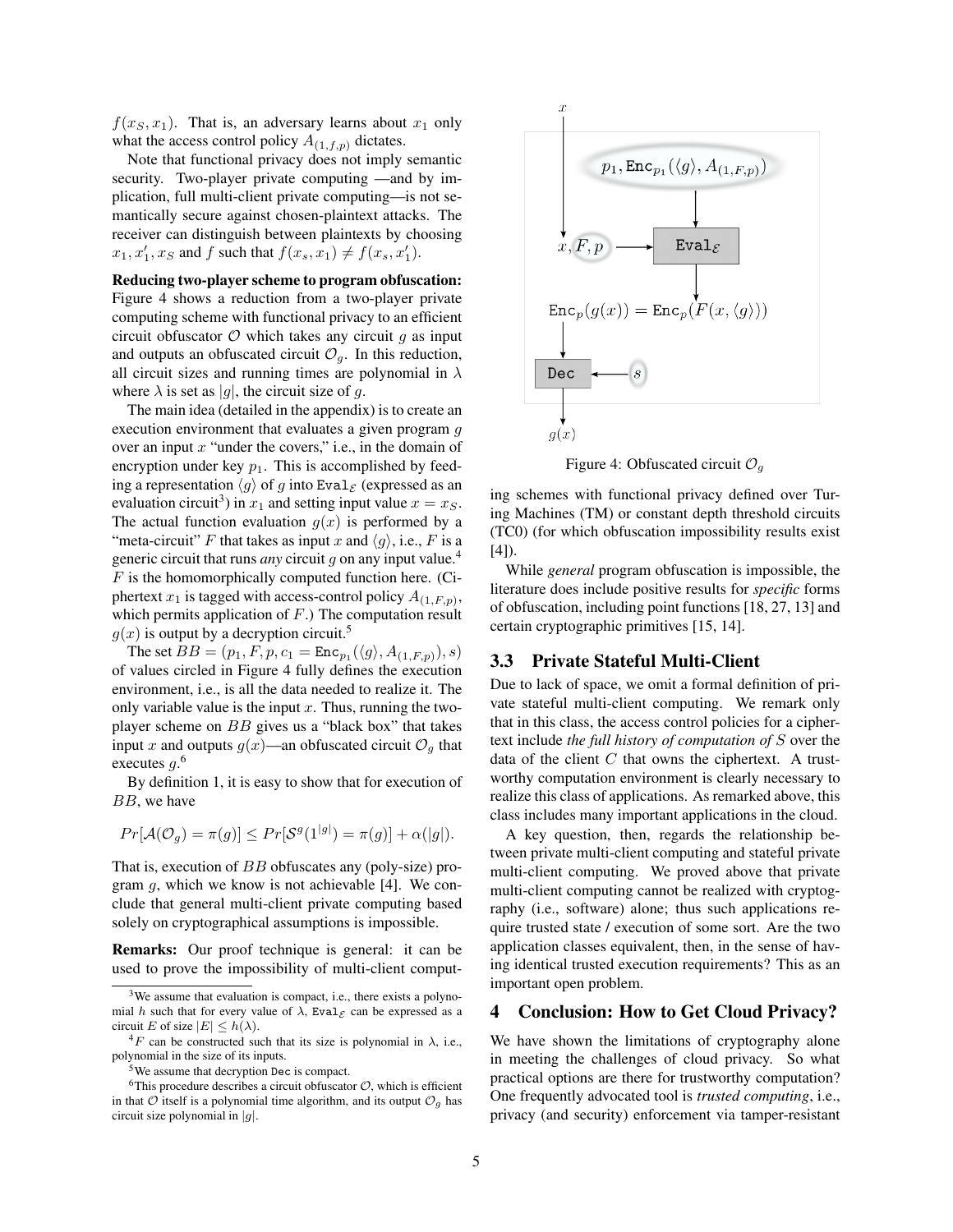$f(x_S, x_1)$ . That is, an adversary learns about  $x_1$  only what the access control policy  $A_{(1,f,p)}$  dictates.

Note that functional privacy does not imply semantic security. Two-player private computing —and by implication, full multi-client private computing—is not semantically secure against chosen-plaintext attacks. The receiver can distinguish between plaintexts by choosing  $x_1, x_1', x_S$  and f such that  $f(x_s, x_1) \neq f(x_s, x_1')$ .

Reducing two-player scheme to program obfuscation: Figure 4 shows a reduction from a two-player private computing scheme with functional privacy to an efficient circuit obfuscator  $\mathcal O$  which takes any circuit q as input and outputs an obfuscated circuit  $\mathcal{O}_q$ . In this reduction, all circuit sizes and running times are polynomial in  $\lambda$ where  $\lambda$  is set as |g|, the circuit size of g.

The main idea (detailed in the appendix) is to create an execution environment that evaluates a given program g over an input  $x$  "under the covers," i.e., in the domain of encryption under key  $p_1$ . This is accomplished by feeding a representation  $\langle g \rangle$  of g into Eval<sub>E</sub> (expressed as an evaluation circuit<sup>3</sup>) in  $x_1$  and setting input value  $x = x_S$ . The actual function evaluation  $g(x)$  is performed by a "meta-circuit" F that takes as input x and  $\langle g \rangle$ , i.e., F is a generic circuit that runs *any* circuit g on any input value.<sup>4</sup>  $F$  is the homomorphically computed function here. (Ciphertext  $x_1$  is tagged with access-control policy  $A_{(1,F,p)}$ , which permits application of  $F$ .) The computation result  $g(x)$  is output by a decryption circuit.<sup>5</sup>

The set  $BB = (p_1, F, p, c_1 = \text{Enc}_{p_1}(\langle g \rangle, A_{(1, F, p)}), s)$ of values circled in Figure 4 fully defines the execution environment, i.e., is all the data needed to realize it. The only variable value is the input  $x$ . Thus, running the twoplayer scheme on BB gives us a "black box" that takes input x and outputs  $g(x)$ —an obfuscated circuit  $\mathcal{O}_q$  that executes  $g^0$ .

By definition 1, it is easy to show that for execution of BB, we have

$$
Pr[\mathcal{A}(\mathcal{O}_g) = \pi(g)] \le Pr[\mathcal{S}^g(1^{|g|}) = \pi(g)] + \alpha(|g|).
$$

That is, execution of BB obfuscates any (poly-size) program  $q$ , which we know is not achievable [4]. We conclude that general multi-client private computing based solely on cryptographical assumptions is impossible.

Remarks: Our proof technique is general: it can be used to prove the impossibility of multi-client comput-



Figure 4: Obfuscated circuit  $\mathcal{O}_q$ 

ing schemes with functional privacy defined over Turing Machines (TM) or constant depth threshold circuits (TC0) (for which obfuscation impossibility results exist  $[4]$ ).

While *general* program obfuscation is impossible, the literature does include positive results for *specific* forms of obfuscation, including point functions [18, 27, 13] and certain cryptographic primitives [15, 14].

#### 3.3 Private Stateful Multi-Client

Due to lack of space, we omit a formal definition of private stateful multi-client computing. We remark only that in this class, the access control policies for a ciphertext include *the full history of computation of* S over the data of the client  $C$  that owns the ciphertext. A trustworthy computation environment is clearly necessary to realize this class of applications. As remarked above, this class includes many important applications in the cloud.

A key question, then, regards the relationship between private multi-client computing and stateful private multi-client computing. We proved above that private multi-client computing cannot be realized with cryptography (i.e., software) alone; thus such applications require trusted state / execution of some sort. Are the two application classes equivalent, then, in the sense of having identical trusted execution requirements? This as an important open problem.

### 4 Conclusion: How to Get Cloud Privacy?

We have shown the limitations of cryptography alone in meeting the challenges of cloud privacy. So what practical options are there for trustworthy computation? One frequently advocated tool is *trusted computing*, i.e., privacy (and security) enforcement via tamper-resistant

<sup>&</sup>lt;sup>3</sup>We assume that evaluation is compact, i.e., there exists a polynomial h such that for every value of  $\lambda$ , Eval<sub> $\mathcal E$ </sub> can be expressed as a circuit E of size  $|E| \leq h(\lambda)$ .

 ${}^{4}F$  can be constructed such that its size is polynomial in  $\lambda$ , i.e., polynomial in the size of its inputs.

<sup>&</sup>lt;sup>5</sup>We assume that decryption Dec is compact.

<sup>&</sup>lt;sup>6</sup>This procedure describes a circuit obfuscator  $O$ , which is efficient in that  $\mathcal O$  itself is a polynomial time algorithm, and its output  $\mathcal O_q$  has circuit size polynomial in  $|g|$ .